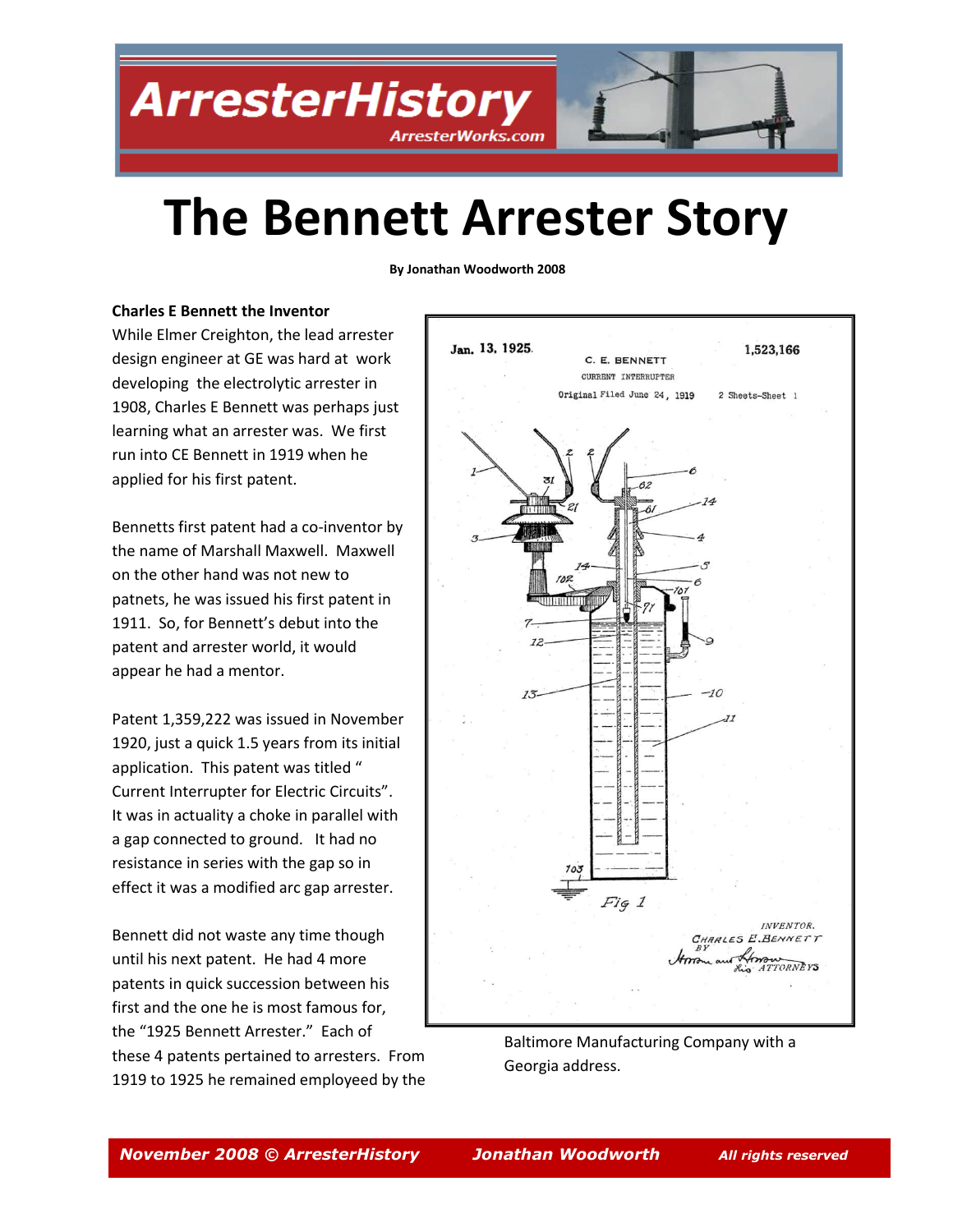**ArresterHistory ArresterWorks.com** 



## **The Bennett Arrester Story**

**By Jonathan Woodworth 2008**

#### **Charles E Bennett the Inventor**

While Elmer Creighton, the lead arrester design engineer at GE was hard at work developing the electrolytic arrester in 1908, Charles E Bennett was perhaps just learning what an arrester was. We first run into CE Bennett in 1919 when he applied for his first patent.

Bennetts first patent had a co-inventor by the name of Marshall Maxwell. Maxwell on the other hand was not new to patnets, he was issued his first patent in 1911. So, for Bennett's debut into the patent and arrester world, it would appear he had a mentor.

Patent 1,359,222 was issued in November 1920, just a quick 1.5 years from its initial application. This patent was titled " Current Interrupter for Electric Circuits". It was in actuality a choke in parallel with a gap connected to ground. It had no resistance in series with the gap so in effect it was a modified arc gap arrester.

Bennett did not waste any time though until his next patent. He had 4 more patents in quick succession between his first and the one he is most famous for, the "1925 Bennett Arrester." Each of these 4 patents pertained to arresters. From 1919 to 1925 he remained employeed by the



Baltimore Manufacturing Company with a Georgia address.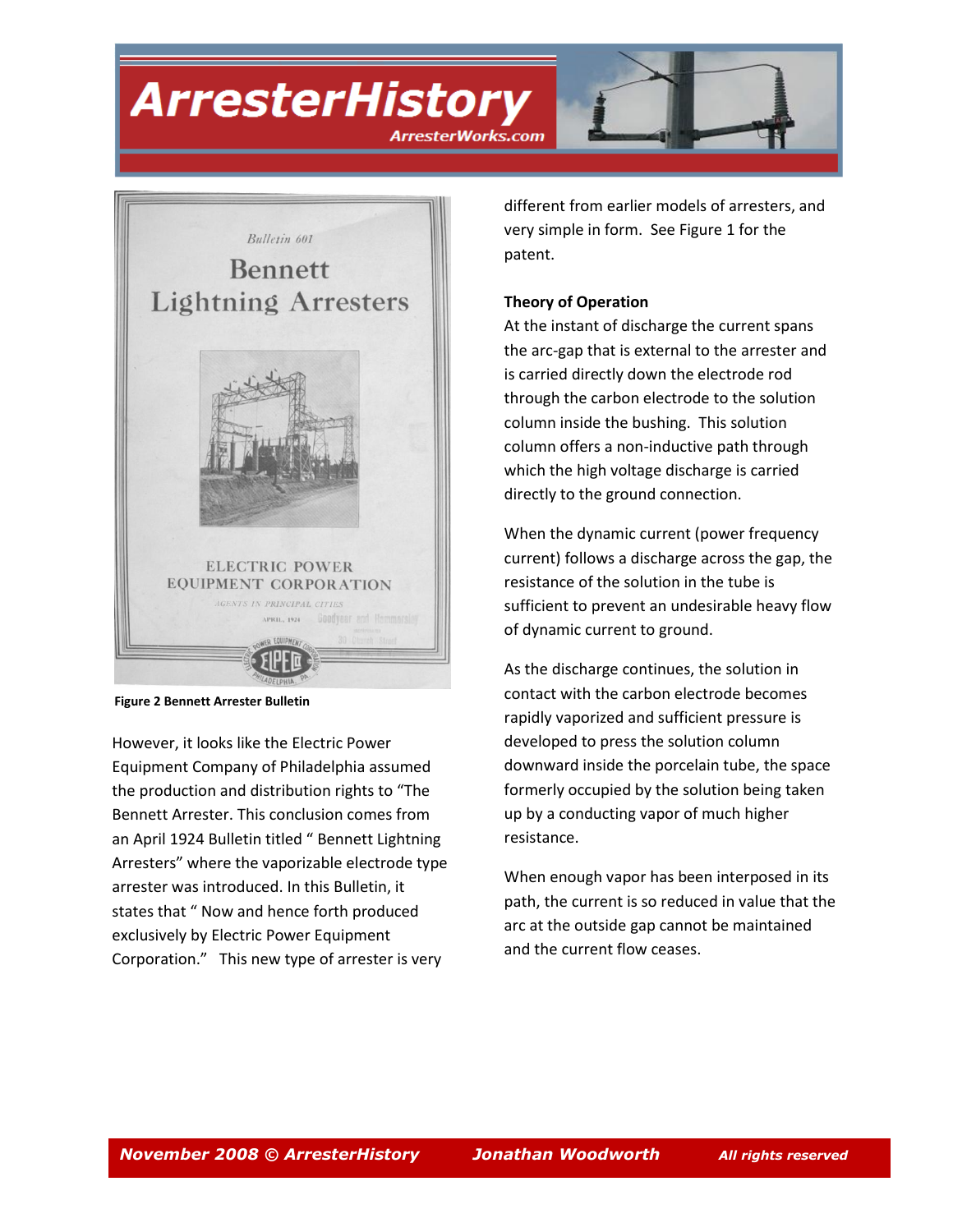### **ArresterHistory**





**Figure 2 Bennett Arrester Bulletin**

However, it looks like the Electric Power Equipment Company of Philadelphia assumed the production and distribution rights to "The Bennett Arrester. This conclusion comes from an April 1924 Bulletin titled " Bennett Lightning Arresters" where the vaporizable electrode type arrester was introduced. In this Bulletin, it states that " Now and hence forth produced exclusively by Electric Power Equipment Corporation." This new type of arrester is very

different from earlier models of arresters, and very simple in form. See Figure 1 for the patent.

#### **Theory of Operation**

At the instant of discharge the current spans the arc-gap that is external to the arrester and is carried directly down the electrode rod through the carbon electrode to the solution column inside the bushing. This solution column offers a non-inductive path through which the high voltage discharge is carried directly to the ground connection.

When the dynamic current (power frequency current) follows a discharge across the gap, the resistance of the solution in the tube is sufficient to prevent an undesirable heavy flow of dynamic current to ground.

As the discharge continues, the solution in contact with the carbon electrode becomes rapidly vaporized and sufficient pressure is developed to press the solution column downward inside the porcelain tube, the space formerly occupied by the solution being taken up by a conducting vapor of much higher resistance.

When enough vapor has been interposed in its path, the current is so reduced in value that the arc at the outside gap cannot be maintained and the current flow ceases.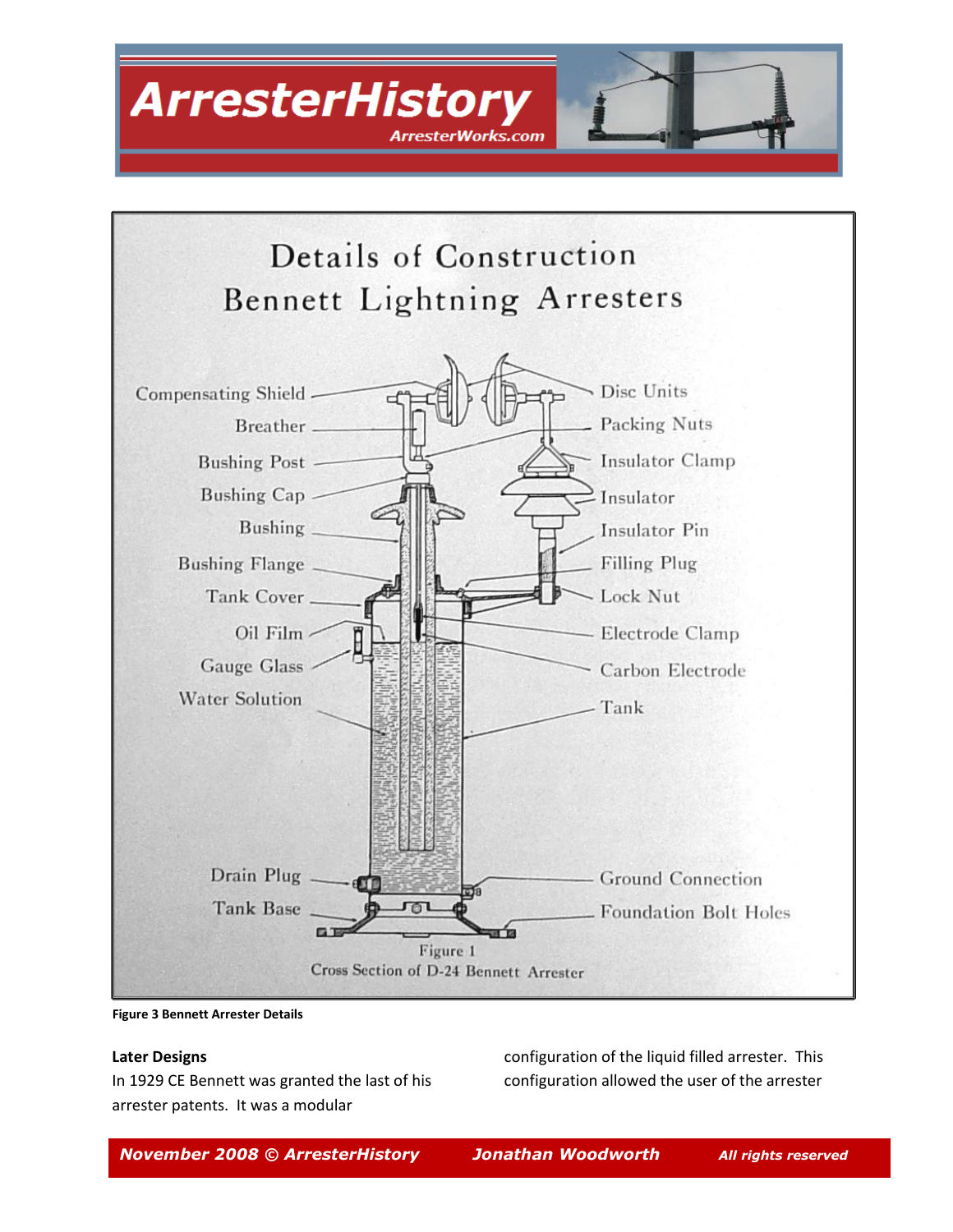



**Figure 3 Bennett Arrester Details**

#### **Later Designs**

In 1929 CE Bennett was granted the last of his arrester patents. It was a modular

configuration of the liquid filled arrester. This configuration allowed the user of the arrester

*November 2008 © ArresterHistory Jonathan Woodworth All rights reserved*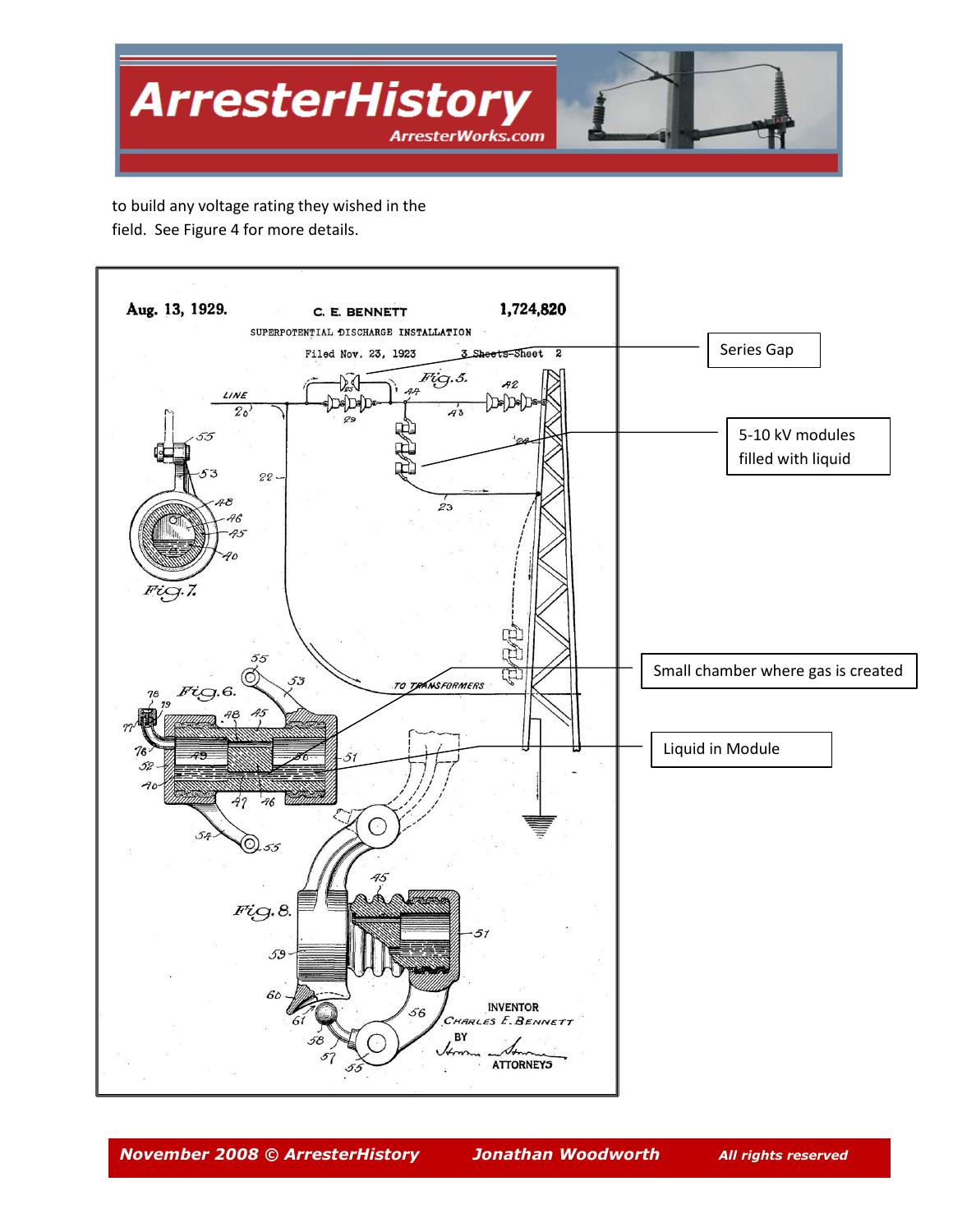

to build any voltage rating they wished in the field. See Figure 4 for more details.